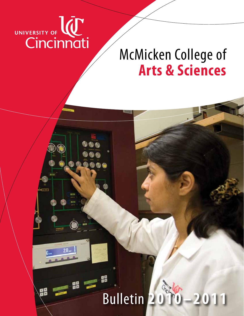

띪

# McMicken College of **Arts & Sciences**

# Bulletin **2 0 1 0 – 2 0 1 1**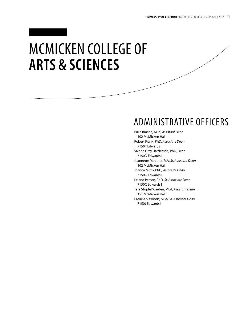# McMicken College of **Arts & Sciences**

# Administrative Officers

Billie Burton, MEd, *Assistant Dean* 102 McMicken Hall Robert Frank, PhD, *Associate Dean* 7150F Edwards I Valerie Gray Hardcastle, PhD, *Dean* 7150D Edwards I Jeannette Mautner, MA, *Sr. Assistant Dean* 102 McMicken Hall Joanna Mitro, PhD, *Associate Dean* 7150G Edwards I Leland Person, PhD, *Sr. Associate Dean* 7150C Edwards I Tara Stopfel Warden, MEd, *Assistant Dean* 151 McMicken Hall Patricia S. Woods, MBA, *Sr. Assistant Dean* 7150J Edwards I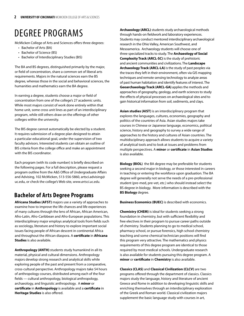# Degree Programs

McMicken College of Arts and Sciences offers three degrees:

- Bachelor of Arts (BA)
- Bachelor of Science (BS)
- Bachelor of Interdisciplinary Studies (BIS)

The BA and BS degrees, distinguished primarily by the major, or field of concentration, share a common set of liberal arts requirements. Majors in the natural sciences earn the BS degree, whereas those in the social and behavioral sciences, the humanities and mathematics earn the BA degree.

In earning a degree, students choose a major or field of concentration from one of the college's 27 academic units. While most majors consist of work done entirely within that home unit, some cross unit lines as part of an interdisciplinary program, while still others draw on the offerings of other colleges within the university.

The BIS degree cannot automatically be elected by a student. It requires submission of a degree plan designed to attain a particular educational goal, under the supervision of two faculty advisors. Interested students can obtain an outline of BIS criteria from the college office and make an appointment with the BIS coordinator.

Each program (with its code number) is briefly described on the following pages. For a full description, please request a program outline from the A&S Office of Undergraduate Affairs and Advising, 102 McMicken, 513-556-5860, artsci.advising@ uc.edu, or check the college's Web site, *www.artsci.uc.edu.*

### **Bachelor of Arts Degree Programs**

**Africana Studies (AFST)** majors use a variety of approaches to examine how to improve the life chances and life experiences of many cultures through the lens of African, African American, Afro-Latin, Afro-Caribbean and Afro-European populations. This interdisciplinary major employs analytical tools from fields such as sociology, literature and history to explore important social issues facing people of African descent in continental Africa and throughout the African diaspora. A **certificate** in **Africana Studies** is also available.

**Anthropology (ANTH)** students study humankind in all its material, physical and cultural dimensions. Anthropology majors develop strong research and analytical skills while exploring people of the past and present from a comparative, cross-cultural perspective. Anthropology majors take 54 hours of anthropology courses, distributed among each of the four fields — cultural anthropology, biological anthropology, archaeology, and linguistic anthropology. A **minor** or **certificate** in **Anthropology** is available and a **certificate** in **Heritage Studies** is also offered.

**Archaeology (ARCL)** students study archaeological methods through hands-on fieldwork and laboratory experiences. Students may conduct mentored interdisciplinary archaeological research in the Ohio Valley, American Southwest, and Mesoamerica. Archaeology students will choose one of three specialized tracks to study. The **Archaeology of Social Complexity Track (ARCL-SC)** is the study of prehistoric and ancient communities and civilizations. The **Landscape Archaeology Track (ARCL-LA)** is the study of past peoples via the traces they left in their environment, often via GIS mapping techniques and remote sensing technology to analyze areas of past human habitation and identify features of interest. The **Geoarchaeology Track (ARCL-GA)** applies the methods and approaches of geography, geology, and earth sciences to study the effects of physical processes on archaeological sites and to gain historical information from soil, sediments, and clays.

**Asian studies (AIST)** is an interdisciplinary program that explores the languages, cultures, economies, geography and politics of the countries of Asia. Asian studies majors take courses in Chinese or Japanese language, economics, political science, history and geography to survey a wide range of approaches to the history and cultures of Asian countries. The multidisciplinary approach allows students to acquire a variety of analytical tools and to look at issues and problems from multiple perspectives. A **minor** or **certificate** in **Asian Studies** is also available.

**Biology (BIOL)** the BA degree may be preferable for students seeking a second major in biology, or those interested in careers in teaching or entering the workforce upon graduation. The BA degree will generally not serve the needs of a pre-professional student (pre-med, pre-vet, etc.) who should instead select the BS degree in biology. More information is described with the **BS Biology** degree.

**Business Economics (BUEC)** is described with economics.

**Chemistry (CHEM)** is ideal for students seeking a strong foundation in chemistry, but with sufficient flexibility and free electives in their program to pursue career paths outside of chemistry. Students planning to go to medical school, pharmacy school, or pursue forensics, high school chemistry teaching and some chemical technician positions will find this program very attractive. The mathematics and physics requirements of this degree program are identical to those required by most medical schools. Undergraduate research is also available for students pursuing this degree program. A **minor** or **certificate** in **Chemistry** is also available.

**Classics (CLAS)** and **Classical Civilization (CLCV)** are two programs offered through the department of classics. Classics majors study the language, history and literature of ancient Greece and Rome in addition to developing linguistic skills and enriching themselves through an interdisciplinary exploration of the Greek and Roman world. Classical civilization majors supplement the basic language study with courses in art,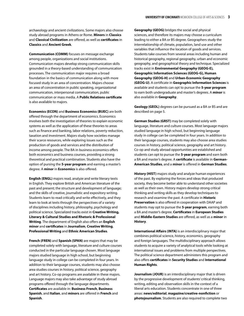archaeology and ancient civilizations. Some majors also choose study abroad programs in Athens or Rome. **Minors** in **Classics** and **Classical Civilization** are offered, as well as **certificates** in **Classics** and **Ancient Greek**.

**Communication (COMM)** focuses on message exchange among people, organizations and social institutions. Communication majors develop strong communication skills grounded in a theory-based understanding of communication processes. The communication major requires a broad foundation in the basics of communication along with more focused study in an area of concentration. Majors choose an area of concentration in public speaking, organizational communication, interpersonal communication, public communication or mass media. A **Public Relations certificate** is also available to majors.

**Economics (ECON)** and **Business Economics (BUEC)** are both offered through the department of economics. Economics involves both the investigation of theories to explain economic systems as well as the application of these theories to areas such as finance and banking, labor relations, poverty reduction, taxation and investment. Majors study how societies manage their scarce resources, while exploring issues such as the production of goods and services and the distribution of income among people. The BA in business economics offers both economics and business courses, providing a strong theoretical and practical combination. Students also have the option of pursing the **5-year program** and earning a master's degree. A **minor** in **Economics** is also offered.

**English (ENGL)** majors read, analyze and write literary texts in English. They explore British and American literature of the past and present; the structure and development of language; and the skills of creative, journalistic and expository writing. Students learn to read critically and write effectively, and they learn to look at texts through the perspectives of a variety of disciplines including history, philosophy, psychology and political science. Specialized tracks exist in **Creative Writing, Literary & Cultural Studies and Rhetoric & Professional Writing**. The department of English also offers an **English minor** and **certificates** in **Journalism**, **Creative Writing**, **Professional Writing** and **Ethnic American Studies**.

**French (FREN)** and **Spanish (SPAN)** are majors that may be completed solely with language, literature and culture courses conducted in the particular language chosen. Most language majors studied language in high school, but beginning language study in college can be completed in four years. In addition to their language courses, students may also choose area studies courses in history, political science, geography and art history. Co-op programs are available in these majors. Language majors may also take advantage of study abroad programs offered through the language departments. **Certificates** are available in: **Business French**, **Business Spanish**, and **Italian**, and **minors** are offered in **French** and **Spanish**.

**Geography (GEOG)** bridges the social and physical sciences, and therefore its majors may choose a curriculum leading to either a BA or BS degree. Geographers study the interrelationship of climate, population, land use and other variables that influence the location of goods and services. Students take courses from several areas including human and historical geography, regional geography, urban and economic geography, and geographical theory and technique. Specialized tracks exist in **Environmental Geography (GEOG-E), Geographic Information Sciences (GEOG-G), Human Geography (GEOG-H)** and **Urban-Economic Geography (GEOG-U)**. A certificate in **Geographic Information Sciences** is available and students can opt to pursue the **5-year program** to earn both undergraduate and master's degrees. A **minor** is also available in **Geography**.

**Geology (GEOL)** degrees can be pursued as a BA or BS and are described on page 5.

**German Studies (GRST)** may be completed solely with language, literature and culture courses. Most language majors studied language in high school, but beginning language study in college can be completed in four years. In addition to their language courses, students may also choose area studies courses in history, political science, geography and art history. Co-op and study abroad opportunities are established and students can opt to pursue the **5-year program** and earn both a BA and master's degree. A **certificate** is available in **German-American Studies**, and a **minor** is offered in **German Studies**.

**History (HIST)** majors study and analyze human experiences of the past. By exploring the forces and ideas that produced society, they become better able to understand other societies as well as their own. History majors develop strong critical thinking and writing skills as they develop techniques to research and examine the past. A certificate in **Historic Preservation** is also offered in cooperation with DAAP and students may opt to pursue the **5-year program**, earning both a BA and master's degree. **Certificates** in **European Studies** and **Middle-Eastern Studies** are offered, as well as a **minor** in **History**.

**International Affairs (INTA)** is an interdisciplinary major that combines political science, history, economics, geography and foreign languages. The multidisciplinary approach allows students to acquire a variety of analytical tools while looking at international issues and problems from multiple perspectives. The political science department administers this program and also offers **certificates** in **Security Studies** and **International Human Rights**.

**Journalism (JOUR)** is an interdisciplinary major that is driven by the progressive development of students' critical thinking, writing, editing and observation skills in the context of a liberal arts education. Students concentrate in one of three areas: **news/editorial**, **magazine/creative-nonfiction** or **photojournalism**. Students are also required to complete two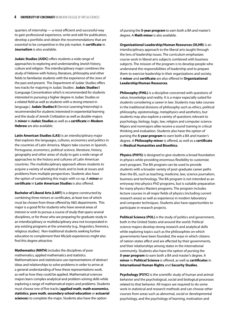quarters of internship — a most efficient and successful way to gain professional experience, write and edit for publication, develop a portfolio and obtain the recommendations that are essential to be competitive in the job market. A **certificate** in **Journalism** is also available.

**Judaic Studies (JUDC)** offers students a wide range of approaches to exploring and understanding Jewish history, culture and religion. This interdisciplinary major combines the study of Hebrew with history, literature, philosophy and other fields to familiarize students with the experience of the Jews of the past and present. The Department of Judaic Studies offers two tracks for majoring in Judaic Studies: **Judaic Studies I**  (Language Concentration which is recommended for students interested in pursuing a higher degree in Judaic Studies or a related field as well as students with a strong interest in language.) **Judaic Studies II** (Service Learning/Internship) is recommended for students interested in experiential learning and the study of Jewish Civilization as well as double-majors. A **minor** in **Judaic Studies** as well as a **certificate** in **Modern Hebrew** are also available.

**Latin American Studies (LAS)** is an interdisciplinary major that explores the languages, cultures, economics and politics in the countries of Latin America. Majors take courses in Spanish, Portuguese, economics, political science, literature, history, geography and other areas of study to gain a wide range of approaches to the history and cultures of Latin American countries. The multidisciplinary approach allows students to acquire a variety of analytical tools and to look at issues and problems from multiple perspectives. Students also have the option of completing this major with co-op. A **minor** or **certificate** in **Latin American Studies** is also offered.

**Bachelor of Liberal Arts (LART)** is a degree constructed by combining three minors or certificates, at least two of which must be chosen from those offered by A&S departments. This major is a good fit for students who have several areas of interest or wish to pursue a course of study that spans several disciplines, or for those who are preparing for graduate study in an interdisciplinary or multidisciplinary area not incorporated in any existing programs at the university (e.g., linguistics, forensics, religious studies). Non-traditional students seeking further education to complement their life/job experiences might also find this degree attractive.

**Mathematics (MATH)** includes the disciplines of pure mathematics, applied mathematics and statistics. Mathematicians and statisticians use representations of abstract ideas and relationships to solve problems in order to arrive at a general understanding of how these representations work, as well as how they could be applied. Mathematical sciences majors learn complex analytical and problem-solving skills while exploring a range of mathematical topics and problems. Students must choose one of five tracks (**applied math**, **math economics**, **statistics**, **pure math**, **secondary school education** or **actuarial sciences**) to complete the major. Students also have the option

of pursing the **5-year program** to earn both a BA and master's degree. A **Math minor** is also available.

**Organizational Leadership/Human Resources (OLHR)** is an interdisciplinary approach to the liberal arts taught through the lens of leadership issues. The curriculum emphasizes course work in liberal arts subjects combined with business subjects. The mission of the program is to develop people who understand the responsibilities of leadership and to prepare them to exercise leadership in their organizations and society. A **minor** and **certificate** are also offered in **Organizational Leadership/Human Resources**.

**Philosophy (PHIL)** is a discipline concerned with questions of value, knowledge and reality. It is a major especially suited for students considering a career in law. Students may take courses in the traditional divisions of philosophy such as ethics, political philosophy, epistemology, metaphysics and aesthetics, but students may also explore a variety of questions relevant to psychology, biology, logic, law, religion and computer science. Majors and nonmajors alike receive a sound training in critical thinking and evaluation. Students also have the option of pursing the **5-year program** to earn both a BA and master's degree. A **Philosophy minor** is offered, as well as a **certificate** in **Medical Humanities and Bioethics**.

**Physics (PHYS)** is designed to give students a broad foundation in physics while providing enormous flexibility to customize one's program. The BA program can be used to provide students with a broader variety of post-graduate career paths than the BS, such as teaching, medicine, law, science journalism, business and technology. The BA program is not intended as an entryway into physics PhD programs, but is suitable preparation for many physics Masters programs. The program includes lecture courses in all major fields of physics (including current research areas) as well as experience in modern laboratory and computer techniques. Students also have opportunities to participate in research projects.

**Political Science (POL)** is the study of politics and government, both in the United States and around the world. Political science majors develop strong research and analytical skills while exploring topics such as the philosophies on which governments have been founded, the ways in which citizens of nation-states affect and are affected by their governments, and their relationships among states in the international community. Students also have the option of pursing the **5-year program** to earn both a BA and master's degree. A **minor** in **Political Science** is offered, as well as **certificates** in **International Human Rights** and **Security Studies**.

**Psychology (PSYC)** is the scientific study of human and animal behavior and the psychological, social and biological processes related to that behavior. All majors are required to do some work in statistical and research methods and can choose other courses from areas such as abnormal, social or developmental psychology, and the psychology of learning, motivation and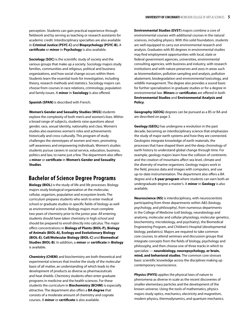perception. Students can gain practical experience through fieldwork and by serving as teaching or research assistants for academic credit. Interdisciplinary specialties are also available in **Criminal Justice (PSYC-C)** and **Biopsychology (PSYC-B).** A **certificate** or **minor** in **Psychology** is also available.

**Sociology (SOC)** is the scientific study of society and the various groups that make up a society. Sociology majors study families, communities and religious, political and business organizations, and how social change occurs within them. Students learn the essential tools for investigation, including theory, research methods and statistics. Sociology majors can choose from courses in race relations, criminology, population and family issues. A **minor** in **Sociology** is also offered.

**Spanish (SPAN)** is described with French.

**Women's Gender and Sexuality Studies (WGS)** students explore the complexity of both men's and women's lives. Within a broad range of subjects, students raise questions about gender, race, sexual identity, nationality and class. Women's studies also examines women's roles and achievements historically and cross-culturally. This program of study challenges the stereotypes of women and men, promoting self-awareness and empowering individuals. Women's studies students pursue careers in social service, education, business, politics and law, to name just a few. The department also offers a **minor** or **certificate** in **Women's Gender and Sexuality Studies**.

### **Bachelor of Science Degree Programs**

**Biology (BIOL)** is the study of life and life processes. Biology majors study biological organization at the molecular, cellular, organism, population and ecosystem levels. The curriculum prepares students who wish to enter medical school or graduate studies in specific fields of biology as well as environmental science. Biology majors must complete two years of chemistry prior to the junior year. All entering students should have taken chemistry in high school and should be prepared to enroll directly into calculus. The major offers concentrations in **Biology of Plants (BIOL-P), Biology of Animals (BIOL-A), Ecology and Evolutionary Biology (BIOL-E)**, **Cell/Molecular Biology (BIOL-C)** and **Biomedical Studies (BIOL-B)**. In addition, a **minor** or **certificate** in **Biology** is available.

**Chemistry (CHEM)** and biochemistry are both theoretical and experimental sciences that involve the study of the molecular basis of all matter, an understanding of which leads to the development of products as diverse as pharmaceuticals and heat shields. Chemistry students often enter graduate programs in medicine and the health sciences. For these students the curriculum in **Biochemistry (BCHM)** is especially attractive. The department also offers a **BA degree** that consists of a moderate amount of chemistry and cognate courses. A **minor** or **certificate** is also available.

**Environmental Studies (EVST)** majors combine a core of environmental courses with additional courses in the natural sciences, including physics. With this solid foundation, students are well equipped to carry out environmental research and analysis. Graduates with BS degrees in environmental studies may find employment opportunities with local, state or federal government agencies, universities, environmental consulting agencies, with business and industry, with research institutions and with nature preserves and zoos in areas such as bioremediation, pollution sampling and analysis, pollution abatement, biodegradation and environmental toxicology, and wildlife management. The degree also provides a sound basis for further specialization in graduate studies or for a degree in environmental law. **Minors** or **certificates** are offered in both **Environmental Studies** and **Environmental Analysis and Policy**.

**Geography (GEOG)** degrees can be pursued as a BS or BA and are described on page 3.

**Geology (GEOL)** has undergone a revolution in the past decade, becoming an interdisciplinary science that emphasizes the study of major earth systems and how they are connected. Geologists integrate knowledge of earth materials, the processes that have shaped them and the deep chronology of earth history to understand global change through time. For example, geology majors learn how the collision of continents and the creation of mountains affect sea level, climate and the diversity of marine organisms. Geology majors work in the field, process data and images with computers, and use up-to-date instrumentation. The department also offers a BA degree and a **5-year program** where students can earn both an undergraduate degree a master's. A **minor** in **Geology** is also available.

**Neuroscience (NS)** is interdisciplinary, with neuroscientists participating from three departments within A&S (biology, psychology, and philosophy), from numerous departments in the College of Medicine (cell biology, neurobiology and anatomy, molecular and cellular physiology, molecular genetics, biochemistry, microbiology, and psychiatry), the Biomedical Engineering Program, and Children's Hospital (developmental biology, pediatrics). Majors are required to take common core courses, to attend seminars and discussion groups that integrate concepts from the fields of biology, psychology and philosophy, and then choose one of three tracks in which to specialize — **neurobiology, neuropsychology, or brain, mind, and behavioral studies**. The common core stresses basic scientific knowledge across the disciplines making up contemporary neuroscience.

**Physics (PHYS)** applies the physical laws of nature to phenomena as diverse in scale as the recent discoveries of smaller elementary particles and the development of the known universe. Using the tools of mathematics, physics majors study optics, mechanics, electricity and magnetism, modern physics, thermodynamics, and quantum mechanics.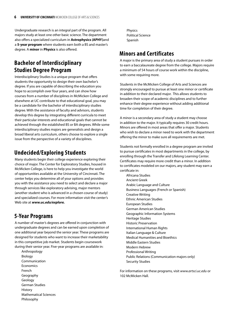Undergraduate research is an integral part of the program. All majors study at least one other basic science. The department also offers a specialized curriculum in **Astrophysics (APHY)**and a **5-year program** where students earn both a BS and master's degree. A **minor** in **Physics** is also offered.

### **Bachelor of Interdisciplinary Studies Degree Program**

Interdisciplinary Studies is a unique program that offers students the opportunity to design their own bachelor's degree. If you are capable of describing the education you hope to accomplish over four years, and can show how courses from a number of disciplines in McMicken College and elsewhere at UC contribute to that educational goal, you may be a candidate for the bachelor of interdisciplinary studies degree. With the assistance of faculty and advisors, students develop this degree by integrating different curricula to meet their particular interests and educational goals that cannot be achieved through the established BS or BA degrees. While some interdisciplinary studies majors are generalists and design a broad liberal arts curriculum, others choose to explore a single issue from the perspective of a variety of disciplines.

### **Undecided/Exploring Students**

Many students begin their college experience exploring their choice of major. The Center for Exploratory Studies, housed in McMicken College, is here to help you investigate the world of opportunities available at the University of Cincinnati. The center helps you determine all of your options and provides you with the assistance you need to select and declare a major through services like exploratory advising, major mentors (another student who is advanced in a chosen course of study) and specialized courses. For more information visit the center's Web site at *www.uc.edu/explore.*

### **5-Year Programs**

A number of master's degrees are offered in conjunction with undergraduate degrees and can be earned upon completion of one additional year beyond the senior year. These programs are designed for students who want to increase their marketability in this competitive job market. Students begin coursework during their senior year. Five-year programs are available in:

Anthropology Biology Communication **Economics** French Geography Geology German Studies History Mathematical Sciences Philosophy

Physics Political Science Spanish

### **Minors and Certificates**

A major is the primary area of study a student pursues in order to earn a baccalaureate degree from the college. Majors require a minimum of 54 hours of course work within the discipline, with some requiring more.

Students in the McMicken College of Arts and Sciences are strongly encouraged to pursue at least one minor or certificate in addition to their declared major. This allows students to broaden their scope of academic disciplines and to further enhance their degree experience without adding additional time for completion of their degree.

A minor is a secondary area of study a student may choose in addition to the major. It typically requires 30 credit hours. Minors are offered in most areas that offer a major. Students who wish to declare a minor need to work with the department offering the minor to make sure all requirements are met.

Students not formally enrolled in a degree program are invited to pursue certificates in most departments in the college, by enrolling through the Transfer and Lifelong Learning Center. Certificates may require more credit than a minor. In addition to certificates modeled on our majors, any student may earn a certificate in:

Africana Studies Ancient Greek Arabic Language and Culture Business Languages (French or Spanish) Creative Writing Ethnic American Studies European Studies German American Studies Geographic Information Systems Heritage Studies Historic Preservation International Human Rights Italian Language & Culture Medical Humanities and Bioethics Middle Eastern Studies Modern Hebrew Professional Writing Public Relations (Communication majors only) Security Studies

For information on these programs, visit *www.artsci.uc.edu* or 102 McMicken Hall.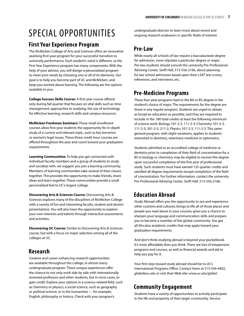# Special Opportunities

### **First Year Experience Program**

The McMicken College of Arts and Sciences offers an innovative yearlong first-year program for your successful transition to university performance. Each student's need is different, so the First Year Experience program has many components. With the help of your advisor, you will design a personalized program to meet your needs by choosing one or all of its elements. Our goal is to help you become part of UC and McMicken, and keep you excited about learning. The following are the options available to you:

**College Success Skills Course:** A first-year course offered only during fall quarter that focuses on vital skills such as time management, approaches to studying, the use of technology for effective learning, research skills and campus resources.

**McMicken Freshman Seminars:** These small enrollment courses allow first-year students the opportunity for in-depth study of a current and relevant topic, such as bio-terrorism or women's legal issues. These three-credit hour courses are offered throughout the year and count toward your graduation requirements.

**Learning Communities:** To help you get connected with individual faculty members and a group of students to study and socialize with, we suggest you join a learning community. Members of learning communities take several of their classes together. This provides the opportunity to make friends, share ideas and learn together. These communities provide a small personalized feel to UC's largest college.

**Discovering Arts & Sciences Course:** Discovering Arts & Sciences explores many of the disciplines of McMicken College with a variety of fun and interesting faculty, student and alumni presentations. You will also have the opportunity to explore your own interests and talents through interactive assessments and activities.

**Discovering UC Course:** Similar to Discovering Arts & Sciences course, but with a focus on major selection among all of the colleges at UC.

### **Research**

Creative and career-enhancing research opportunities are available throughout the college, in almost every undergraduate program. These unique experiences offer the chance to not only work side by side with internationally reowned professors and other students, but in most cases, to gain credit. Explore your options in a science-related field, such as chemistry or physics; a social science, such as geography or political science; or in the humanities — for example, English, philosophy or history. Check with your program's

undergraduate director to learn more about recent and ongoing research endeavors in specific fields of interest.

### **Pre-Law**

While nearly all schools of law require a baccalaureate degree for admission, none stipulate a particular degree or major. Pre-law students should consult the university Pre-Professional Advising Center, Swift Hall, 513-556-2166, about planning for law school admission based upon their LSAT test scores, references, and interviews, etc.

### **Pre-Medicine Programs**

These four-year programs lead to the BA or BS degree in the student's choice of major. The requirements for the degree are those in any regular program. Students are urged to obtain as broad an education as possible, and they are required to include in the 180 total credits at least the following minimum of science work: Biology 101-2-3, 111-2-3; Chemistry 101-2-3, 111-2-3, 201-2-3, 211-2; Physics 101-2-3, 111-2-3. This same general program, with slight variations, applies to students interested in dentistry, veterinary medicine or optometry.

Students admitted to an accredited college of medicine or dentistry prior to completion of their field of concentration for a BS in biology or chemistry may be eligible to receive the degree upon successful completion of the first year of professional study. Such students must have earned 135 quarter credits and satisfied all degree requirements except completion of the field of concentration. For further information, contact the university Pre-Professional Advising Center, Swift Hall, 513-556-2166.

### **Education Abroad**

Study Abroad offers you the opportunity to see and experience other customs and cultures; brings to life all of those places and people you read about in your courses; gives you a chance to sharpen your language and communication skills and prepare you to become a member of the global community. You get all this plus academic credits that may apply toward your graduation requirements.

And don't think studying abroad is beyond your pocketbook. It's more affordable than you think. There are lots of inexpensive programs and courses, as well as financial awards and aid to help you pay for it.

Your first step toward study abroad should be to UC's International Programs Office. Contact them at 513-556-4402, *global@uc.edu* or visit their Web site: *www.uc.edu/global.*

# **Community Engagement**

Students have a variety of opportunities to actively participate in the life and properity of their larger community. Service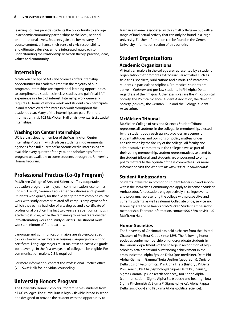learning courses provide students the opportunity to engage in academic community partnerships at the local, national or international levels. Students gain a richer mastery of course content, enhance their sense of civic responsibility and ultimately develop a more integrated approach to understanding the relationship between theory, practice, ideas, values and community.

### **Internships**

McMicken College of Arts and Sciences offers internship opportunities for academic credit in the majority of our programs. Internships are experiential learning opportunities to compliment a student's in-class studies and gain "real-life" experience in a field of interest. Internship work generally requires 10 hours of work a week, and students can participate in and receive credit for internship work throughout the academic year. Many of the internships are paid. For more information, visit 102 McMicken Hall or visit www.artsci.uc.edu/ internships.

### **Washington Center Internships**

UC is a participating member of the Washington Center Internship Program, which places students in governmental agencies for a full quarter of academic credit. Internships are available every quarter of the year, and scholarships for the program are available to some students through the University Honors Program.

### **Professional Practice (Co-Op Program)**

McMicken College of Arts and Sciences offers cooperative education programs to majors in communication, economics, English, French, German, Latin American studies and Spanish. Students who qualify for the five-year program combine course work with study or career-related off-campus employment for which they earn a bachelor of arts degree and a certificate of professional practice. The first two years are spent on campus in academic studies, while the remaining three years are divided into alternating work and study quarters. The student must work a minimum of four quarters.

Language and communication majors are also encouraged to work toward a certificate in business language or a writing certificate. Language majors must maintain at least a 2.5 grade point average in the first two years of college to be eligible. For communication majors, 2.8 is required.

For more information, contact the Professional Practice office (702 Swift Hall) for individual counseling.

### **University Honors Program**

The University Honors Scholars Program serves students from all UC colleges. The curriculum is highly flexible, broad in scope and designed to provide the student with the opportunity to

learn in a manner associated with a small college — but with a range of intellectual activity that can only be found in a large university. Further information can be found in the General University Information section of this bulletin.

### **Student Organizations Academic Organizations**

Virtually all majors in the college are represented by a student organization that promotes extracurricular activities such as field trips, speakers, publications and tutorials of interest to students in particular disciplines. Pre-medical students are active in *Caducea* and pre-law students in Phi Alpha Delta, regardless of their majors. Other examples are the Philosophical Society, the Political Science Student Association, the Newton Society (physics), the German Club and the Biology Student Association.

### **McMicken Tribunal**

McMicken College of Arts and Sciences Student Tribunal represents all students in the college. Its membership, elected by the student body each spring, provides an avenue for student attitudes and opinions on policy matters under consideration by the faculty of the college. All faculty and administrative committees in the college have, as part of their voting membership, student representatives selected by the student tribunal, and students are encouraged to bring policy matters to the agenda of these committees. For more information visit the Web site at: *www.artsci.uc.edu/tribunal.*

### **Student Ambassadors**

Students interested in promoting student leadership and service within the McMicken Community can apply to become a Student Ambassador. Ambassadors engage actively in college events and programs, representing the college with prospective and current students, as well as alumni. Collegiate pride, service and leadership are the hallmarks of McMicken Student Ambassador membership. For more information, contact 556-5860 or visit 102 McMicken Hall.

#### **Honor Societies**

The University of Cincinnati has held a charter from the United Chapters of Phi Beta Kappa since 1898. The following honor societies confer membership on undergraduate students in the various departments of the college in recognition of high scholarly attainment and outstanding achievement in the areas indicated: Alpha Epsilon Delta (pre-medicine), Delta Phi Alpha (German), Gamma Theta Upsilon (geography), Omicron Delta Epsilon (economics), Phi Alpha Theta (history), Pi Delta Phi (French), Psi Chi (psychology), Sigma Delta Pi (Spanish), Sigma Gamma Epsilon (earth sciences), Tau Kappa Alpha (communication), Sigma Alpha Eta (speech and hearing), Iota Sigma Pi (chemistry), Sigma Pi Sigma (physics), Alpha Kappa Delta (sociology) and Pi Sigma Alpha (political science).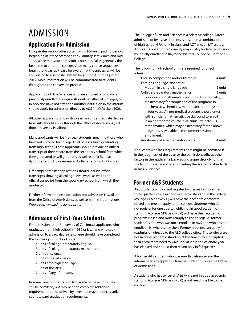# Admission

### **Application For Admission**

UC operates on a quarter system, with 10-week grading periods beginning in late September, early January, late March and mid-June. While mid-year admission is possible, Fall is generally the best time to enter the college, since many course sequences begin that quarter. Please be aware that the university will be converting to a semester system beginning Autumn Quarter 2012. More information will be communicated to students throughout the conversion process.

Applicants to Arts & Sciences who are enrolled or who were previously enrolled as degree students in other UC colleges, or in A&S and have not attended another institution in the interim, should apply for admission directly to A&S (in McMicken 102).

All other applicants who wish to earn an undergraduate degree from A&S should apply through the Office of Admissions (3rd floor, University Pavilion).

Many applicants will be first-year students, meaning those who have not enrolled for college-level courses since graduating from high school. These applicants should provide an official transcript of their record from the secondary school from which they graduated or will graduate, as well as their Scholastic Aptitude Test (SAT) or American College Testing (ACT) scores.

Off-campus transfer applications should include official transcripts showing all college-level work, as well as an official transcript from the secondary school from which they graduated.

Further information on application and admission is available from the Office of Admissions, as well as from the admissions Web page, *www.admissions.uc.edu.*

### **Admission of First-Year Students**

For admission to the University of Cincinnati, applicants who graduated from high school in 1986 or later and who seek admission to a baccalaureate college should have completed the following high school units:

- 4 units of college-preparatory English
- 3 units of college-preparatory mathematics
- 2 units of science
- 2 units of social science
- 2 units of foreign language
- 1 unit of fine arts
- 2 units of any of the above

In some cases, students who lack some of these units may still be admitted, but may need to complete additional requirements at the university level that may not necessarily count toward graduation requirements.

The College of Arts and Sciences is a selective college. Direct admission of first-year students is based on a combination of high school GPA, rank in class, and ACT and/or SAT scores. Applicants not admitted directly may qualify for later admission by initially enrolling in Raymond Walters College or Clermont College.

The following high school units are required for direct admission:

|  | English composition and/or literature                 | 4 units |
|--|-------------------------------------------------------|---------|
|  | Foreign Language, ancient or                          |         |
|  | Modern in a single language                           | 2 units |
|  | College-preparatory mathematics                       | 3 units |
|  | Four years of mathematics, including trigonometry,    |         |
|  | are necessary for completion of the programs in       |         |
|  | biochemistry, chemistry, mathematics and physics      |         |
|  | in four years. All pre-medical students should enter  |         |
|  | with sufficient mathematics background to enroll      |         |
|  | in an appropriate course in calculus. Pre-calculus    |         |
|  | mathematics, which may be necessary for the above     |         |
|  | programs, is available in the summer session prior to |         |
|  | enrollment.                                           |         |
|  |                                                       |         |

Additional college-preparatory work 4 units

Applicants who lack requirements here might be admitted if, in the judgment of the dean or the admissions officer, other factors in the applicant's background argue strongly for that student's probable success in meeting the academic standards in Arts & Sciences.

### **Former A&S Students**

A&S students who do not register for classes for more than three quarters while in good academic standing in the college (college GPA above 2.0) will have their academic program closed and must reapply to the college. Students who do not register for one quarter while not in good academic standing (college GPA below 2.0) will have their academic program closed and must reapply to the college. A "former student" is one who was once enrolled in A&S and who has not enrolled elsewhere since then. Former students can apply for readmission directly to the A&S college office. Those who were not in good academic standing at the time they interrupted their enrollment need to wait until at least one calendar year has elapsed and should then return only in fall quarter.

A former A&S student who was enrolled elsewhere in the interim needs to apply as a transfer student through the Office of Admissions.

A student who has twice left A&S while not in good academic standing (college GPA below 2.0) is not re-admissible to the college.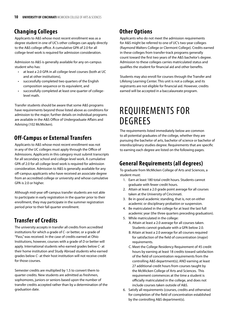## **Changing Colleges**

Applicants to A&S whose most recent enrollment was as a degree student in one of UC's other colleges can apply directly to the A&S college office. A cumulative GPA of 2.0 for all college-level work is required for admission consideration.

Admission to A&S is generally available for any on-campus student who has:

- at least a 2.0 GPA in all college-level courses (both at UC and at other institutions),
- successfully completed two quarters of the English composition sequence or its equivalent, and
- successfully completed at least one quarter of collegelevel math.

Transfer students should be aware that some A&S programs have requirements beyond those listed above as conditions for admission to the major; further details on individual programs are available in the A&S Office of Undergraduate Affairs and Advising (102 McMicken).

### **Off-Campus or External Transfers**

Applicants to A&S whose most recent enrollment was not in any of the UC colleges must apply through the Office of Admissions. Applicants in this category must submit transcripts for all secondary school and college-level work. A cumulative GPA of 2.0 for all college-level work is required for admission consideration. Admission to A&S is generally available for any off-campus applicants who have received an associate degree from an accredited college or university and whose cumulative GPA is 2.0 or higher.

Although mid-year off-campus transfer students are not able to participate in early registration in the quarter prior to their enrollment, they may participate in the summer registration period prior to their fall quarter enrollment.

### **Transfer of Credits**

The university accepts in transfer all credits from accredited institutions for which a grade of *C-* or better, or a grade of "Pass," was received. In the case of credits earned at Ohio Institutions, however, courses with a grade of *D* or better will apply. International students who earned grades below *C-* at their home institution and Study Abroad students who earned grades below *C-* at their host institution will not receive credit for those courses.

Semester credits are multiplied by 1.5 to convert them to quarter credits. New students are admitted as freshmen, sophomores, juniors or seniors based upon the number of transfer credits accepted rather than by a determination of the graduation date.

## **Other Options**

Applicants who do not meet the admission requirements for A&S might be referred to one of UC's two-year colleges (Raymond Walters College or Clermont College). Credits earned in these colleges from transfer-track programs generally count toward the first two years of the A&S bachelor's degree. Admission to these colleges carries matriculated status and qualifies the student for financial aid and other benefits.

Students may also enroll for courses through the Transfer and Lifelong Learning Center. This unit is not a college, and its registrants are not eligible for financial aid. However, credits earned will be accepted in a baccalaureate program.

# Requirements For **DEGREES**

The requirements listed immediately below are common to all potential graduates of the college, whether they are pursuing the bachelor of arts, bachelor of science or bachelor of interdisciplinary studies degree. Requirements that are specific to earning each degree are listed on the following pages.

### **General Requirements (all degrees)**

To graduate from McMicken College of Arts and Sciences, a student must:

- 1. Earn at least 180 total credit hours. Students cannot graduate with fewer credit hours.
- 2. Attain at least a 2.0 grade point average for all courses taken at the University of Cincinnati.
- 3. Be in good academic standing, that is, not on either academic or disciplinary probation or suspension.
- 4. Be matriculated in the college for at least the last full academic year (the three quarters preceding graduation).
- 5. While matriculated in the college:
	- A. Attain at least a 2.0 average for all courses taken. Students cannot graduate with a GPA below 2.0.
	- B. Attain at least a 2.0 average for all courses required for satisfaction of the field of concentration (major) requirements.
	- C. Meet the College Residency Requirement of 45 credit hours by earning at least 18 credits toward satisfaction of the field of concentration requirements from the controlling A&S department(s); AND earning at least 27 additional credit hours from courses taught by the McMicken College of Arts and Sciences. This requirement commences at the time a student is officially matriculated in the college, and does not include courses taken outside of A&S.
- 6. Satisfy all requirements (courses, credits and otherwise) for completion of the field of concentration established by the controlling A&S department(s).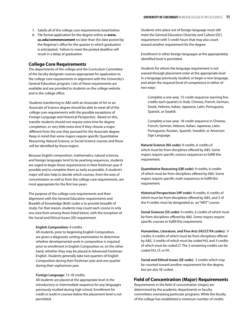- 7. Satisfy all of the college core requirements listed below.
- 8. File formal application for the degree online at **www. uc.edu/commencement** no later than the date posted by the Registrar's office for the quarter in which graduation is anticipated. Failure to meet the posted deadline will result in a delay of graduation.

#### **College Core Requirements**

The departments of the college and the Curriculum Committee of the faculty designate courses appropriate for application to the college core requirements in alignment with the University's General Education program. Lists of these requirements are available and are provided to students on the college website and in the college office.

Students transferring to A&S with an Associate of Art or an Associate of Science degree should be able to meet all of the college core requirements with the possible exceptions of Foreign Language and Historical Perspective. Based on this, transfer students should not require extra time for degree completion, or very little extra time if they choose a major different from the one they pursued for the Associate degree. Keep in mind that some majors require specific Quantitative Reasoning, Natural Science, or Social Science courses and these will be identified by those majors.

Because English composition, mathematics, natural sciences, and foreign languages tend to be yearlong sequences, students are urged to begin these requirements in their freshman year if possible and to complete them as early as possible. A student's major will also help to decide which courses, from the area of concentration as well as from the college core requirements, are most appropriate for the first two years.

The purpose of the college core requirements and their alignment with the General Education requirements and Breadth of Knowledge (BoK) codes is to provide breadth of study. For that reason, students may count each course in only one area from among those listed below, with the exception of the Social and Ethical Issues (SE) requirement.

#### **English Composition:** 9 credits.

All students, prior to beginning English Composition, are given a diagnostic writing examination to determine whether developmental work in composition is required prior to enrollment in English Composition or, on the other hand, whether they may be placed in Advanced Freshman English. Students generally take two quarters of English Composition during their freshman year and one quarter during their sophomore year.

#### **Foreign Language:** 15-18 credits.

All students are placed at the appropriate level in the introductory or intermediate sequence for any languages previously studied during high school. Enrollment for credit or audit in courses below the placement level is not permitted.

Students who place out of foreign language must still meet the General Education Diversity and Culture (DC) requirement with 3 credit hours that may also count toward another requirement for the degree.

Enrollment in other foreign languages at the appropriately identified level is permitted.

Students for whom the language requirement is not waived through placement enter at the appropriate level in a language previously studied, or begin a new language, and attain the required level of competence in either of two ways:

Complete a one-year, 15-credit sequence (earning five credits each quarter) in Arab, Chinese, French, German, Greek, Hebrew, Italian, Japanese, Latin, Portuguese, Spanish, or Swahili.

Complete a two-year, 18-credit sequence in Chinese, French, German, Hebrew, Italian, Japanese, Latin, Portuguese, Russian, Spanish, Swedish, or American Sign Language.

**Natural Science (NS code):** 9 credits, 6 credits of which must be from disciplines offered by A&S. Some majors require specific science sequences to fulfill this requirement.

**Quantitative Reasoning (QR code):** 9 credits, 6 credits of which must be from disciplines offered by A&S. Some majors require specific math sequences to fulfill this requirement.

**Historical Perspectives (HP code):** 9 credits, 6 credits of which must be from disciplines offered by A&S, and 3 of the 9 credits must be designated as an "HIST" course.

**Social Sciences (SS code):** 9 credits, 6 credits of which must be from disciplines offered by A&S. Some majors require specific courses to fulfill this requirement.

**Humanities, Literature, and Fine Arts (HU/LT/FA codes):** 9 credits, 6 credits of which must be from disciplines offered by A&S, 3 credits of which must be coded HU, and 3 credits of which must be coded LT. The 3 remaining credits can be coded HU, LT, or FA.

**Social and Ethical Issues (SE code):** 3 credits which may be counted toward another requirement for the degree, but are also SE coded.

#### **Field of Concentration (Major) Requirements**

Requirements in the field of concentration (major) are determined by the academic departments or faculty committees overseeing particular programs. While the faculty of the college has established a minimum number of credits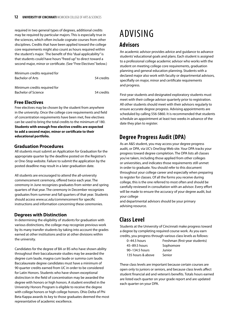required in two general types of degrees, additional credits may be required by particular majors. This is especially true in the sciences, which often include cognate courses from other disciplines. Credits that have been applied toward the college core requirements might also count as hours required within the student's major. The benefit of this "dual applicability" is that students could have hours "freed up" to direct toward a second major, minor or certificate. (See "Free Electives" below.)

| Minimum credits required for |            |
|------------------------------|------------|
| <b>Bachelor of Arts</b>      | 54 credits |
|                              |            |

| Minimum credits required for |            |
|------------------------------|------------|
| Bachelor of Science          | 54 credits |

### **Free Electives**

Free electives may be chosen by the student from anywhere in the university. Once the college core requirements and field of concentration requirements have been met, free electives can be used to bring the total credits to the minimum of 180. **Students with enough free elective credits are expected to add a second major, minor or certificate to their educational portfolio.**

#### **Graduation Procedures**

All students must submit an Application for Graduation for the appropriate quarter by the deadline posted on the Registrar's or One-Stop website. Failure to submit the application by the posted deadline may result in a later graduation date.

All students are encouraged to attend the all-university commencement ceremony, offered twice each year. The ceremony in June recognizes graduates from winter and spring quarters of that year. The ceremony in December recognizes graduates from summer and fall quarters of that year. Students should access *www.uc.edu/commencement* for specific instructions and information concerning these ceremonies.

### **Degrees with Distinction**

In determining the eligibility of students for graduation with various distinctions, the college may recognize previous work by its many transfer students by taking into account the grades earned at other institutions and/or at other divisions within the university.

Candidates for the degree of BA or BS who have shown ability throughout their baccalaureate studies may be awarded the degree cum laude, magna cum laude or summa cum laude. Baccalaureate degree candidates must have a minimum of 90 quarter credits earned from UC in order to be considered for Latin Honors. Students who have shown exceptional distinction in the field of concentration may be awarded the degree with honors or high honors. A student enrolled in the University Honors Program is eligible to receive the degree with college honors or high college honors. Ohio Delta of Phi Beta Kappa awards its key to those graduates deemed the most representative of academic excellence.

# Advising

### **Advisors**

An academic advisor provides advice and guidance to advance students' educational goals and plans. Each student is assigned to a professional college academic advisor who works with the student on meeting college core requirements, graduation planning and general education planning. Students with a declared major also work with faculty or departmental advisors, specifially on major, minor and certificate requirements and progress.

First-year students and designated exploratory students must meet with their college advisor quarterly prior to registration. All other students should meet with their advisors regularly to ensure accurate degree progress. Advising appointments are scheduled by calling 556-5860. It is recommended that students schedule an appointment at least two weeks in advance of the date they plan to register.

### **Degree Progress Audit (DPA)**

As an A&S student, you may access your degree progress audit, or DPA, via UC's OneStop Web site. Your DPA tracks your progress toward degree completion. The DPA lists all classes you've taken, including those applied from other colleges or universities, and indicates those requirements still unmet in order to graduate. You should refer to this document throughout your college career and especially when preparing to register for classes. Of all the forms you receive during college, this is the one referred to most often and should be carefully reviewed in consultation with an advisor. Every effort will be made to ensure the accuracy of your degree audit, but your college

and departmental advisors should be your primary advising resource.

# **Class Level**

Students at the University of Cincinnati make progress toward a degree by completing required course work. As you earn credits, you progress through various class levels as follows:

45–89.5 hours Sophomore 90–134.5 hours Junior 135 hours & above Senior

0–44.5 hours Freshman (first-year students)

These class levels are important because certain courses are open only to juniors or seniors, and because class levels affect student financial aid and veteran's benefits. Totals hours earned are listed each quarter on your grade report and are updated each quarter on your DPA.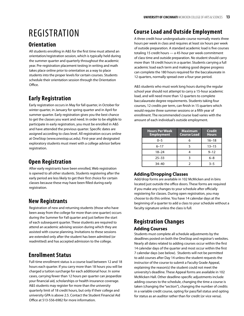# **REGISTRATION**

### **Orientation**

All students enrolling in A&S for the first time must attend an orientation/registration session, which is typically held during the summer quarter and quarterly throughout the academic year. Pre-registration placement testing in writing and math takes place online prior to orientation as a way to place students into the proper levels for certain courses. Students schedule their orientation session through the Orientation Office.

# **Early Registration**

Early registration occurs in May for fall quarter, in October for winter quarter, in January for spring quarter and in April for summer quarter. Early registration gives you the best chance to get the classes you want and need. In order to be eligible to participate in early registration, you must be enrolled in A&S and have attended the previous quarter. Specific dates are assigned according to class level. All registration occurs online at OneStop (www.onestop.uc.edu). First-year and designated exploratory students must meet with a college advisor before registration.

# **Open Registration**

After early registrants have been enrolled, Web registration is opened to all other students. Students registering after the early period are less likely to get their first choice for certain classes because these may have been filled during early registration.

# **New Registrants**

Registration of new and returning students (those who have been away from the college for more than one quarter) occurs during the Summer for Fall quarter and just before the start of each subsequent quarter. These students are required to attend an academic advising session during which they are assisted with course planning. Invitations to these sessions are extended only after the student has been admitted (or readmitted) and has accepted admission to the college.

# **Enrollment Status**

Full-time enrollment status is a course load between 12 and 18 hours each quarter. If you carry more than 18 hours you will be charged a tuition surcharge for each additional hour. In some cases, carrying fewer than 12 hours per quarter can jeopardize your financial aid, scholarships or health insurance coverage. A&S students may register for more than the university quarterly limit of 18 credit hours, but only if their college and university GPA is above 2.5. Contact the Student Financial Aid Office at 513-556-6982 for more information.

# **Course Load and Outside Employment**

A three credit hour undergraduate course normally meets three hours per week in class and requires at least six hours per week of outside preparation. A standard academic load is five courses totaling 15 credit hours — a 45-hour per week commitment of class time and outside preparation. No student should carry more than 18 credit hours in a quarter. Students carrying a full academic load each term and making good degree progress can complete the 180 hours required for the baccalaureate in 12 quarters, normally spread over a four-year period.

A&S students who must work long hours during the regular school year should not attempt to carry a 15-hour academic load, and will need more than 12 quarters to complete baccalaureate degree requirements. Students taking four courses, 12 credits per term, can finish in 15 quarters which would require three summer sessions or a fifth year of enrollment. The recommended course load varies with the amount of each individual's outside employment.

| <b>Hours Per Week</b><br><b>Employment</b> | <b>Maximum</b><br><b>Course Load</b> | <b>Credit</b><br><b>Hours</b> |
|--------------------------------------------|--------------------------------------|-------------------------------|
| $0 - 5$                                    | 6                                    | $16 - 18$                     |
| $6 - 17$                                   |                                      | $13 - 15$                     |
| $18 - 24$                                  |                                      | $9 - 12$                      |
| $25 - 33$                                  |                                      | $6 - 8$                       |
| $34 - 40$                                  |                                      | $3 - 5$                       |

### **Adding/Dropping Classes**

Add/drop forms are available in 102 McMicken and in bins located just outside the office doors. These forms are required if you make any changes to your schedule after officially registering for classes. During open registration, you may choose to do this online. You have 14 calendar days at the beginning of a quarter to add a class to your schedule without a faculty signature unless the class is full.

### **Registration Changes Adding Courses**

Students must complete all schedule adjustments by the deadlines posted on both the OneStop and registrar's websites. Nearly all dates related to adding courses occur within the first 14 calendar days of the quarter and most occur within the first 7 calendar days (see below). Students will not be permitted to add courses after Day 14 unless the student requests the instructor of the course to submit a Faculty Grade Appeal, explaining the reason(s) the student could not meet the university's deadline. These Appeal forms are available in 102 McMicken Hall. Other deadline-specific adjustments include adding courses to the schedule, changing the time a course is taken (changing the "section"), changing the number of credits in a variable credit course, opting for pass/fail status and opting for status as an auditor rather than for credit (or vice versa).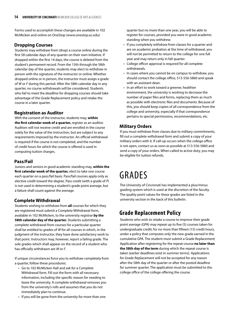Forms used to accomplish these changes are available in 102 McMicken and online on OneStop (www.onestop.uc.edu)

#### **Dropping Courses**

Students may withdraw from (drop) a course online during the first 58 calendar days of any quarter on their own initiative. If dropped within the first 14 days, the course is deleted from the student's permanent record. From the 15th through the 58th calendar day of the quarter, students may elect to withdraw in person with the signature of the instructor or online. Whether dropped online or in person, the instructor must assign a grade of *W* or *F* during this period. After the 58th calendar day in any quarter, no course withdrawals will be considered. Students who fail to meet the deadline for dropping courses should take advantage of the Grade Replacement policy and retake the course in a later quarter.

### **Registration as Auditor**

With the consent of the instructor, students may, **within the first calendar week of a quarter,** register as an auditor. Auditors will not receive credit and are enrolled in the course solely for the value of the instruction, but are subject to any requirements imposed by the instructor. An official withdrawal is required if the course is not completed, and the number of credit hours for which the course is offered is used in computing tuition charges.

### **Pass/Fail**

Juniors and seniors in good academic standing may, **within the first calendar week of the quarter,** elect to take one course each quarter on a pass/fail basis. Pass/fail courses apply only as elective credit toward the degree. Pass credit (with a grade of *P*) is not used in determining a student's grade point average, but a failure shall count against the average.

### **Complete Withdrawal**

Students wishing to withdraw from **all** courses for which they are registered must submit a Complete Withdrawal form, available in 102 McMicken, to the university registrar **by the 58th calendar day of the quarter.** Students submitting a complete withdrawal from courses for a particular quarter shall be entitled to grades of *W* for all courses in which, in the judgment of the instructor, they have done satisfactory work to that point. Instructors may, however, report a failing grade. The sole grades which shall appear on the record of a student who has officially withdrawn are *W* or *F*.

If unique circumstances force you to withdraw completely from a quarter, follow these procedures:

- Go to 102 McMicken Hall and ask for a Complete Withdrawal form. Fill out the form with all necessary information, including the specific reason for needing to leave the university. A complete withdrawal removes you from the university's rolls and assumes that you do not immediately plan to continue.
- If you will be gone from the university for more than one

quarter but no more than one year, you will be able to register for courses, provided you were in good academic standing when you withdrew.

- If you completely withdraw from classes for a quarter and are on academic probation at the time of withdrawal, you will not be permitted to return to the college for one full year and may return only in fall quarter.
- College officer approval is required for all complete withdrawals.
- In cases where you cannot be on campus to withdraw, you should contact the college office, 513-556-5860 and speak with an assistant dean.
- In an effort to work toward a greener, healthier environment, the university is working to decrease the number of paper files and forms, replacing them as much as possible with electronic files and documents. Because of this, you should keep copies of all correspondence from the college and university, especially if that correspondence pertains to special permissions, recommendations, etc.

### **Military Orders**

If you must withdraw from classes due to military commitments, fill out a complete withdrawal form and submit a copy of your military orders with it. If call-up occurs when the college office is not open, contact us as soon as possible at 513-556-5860 and send a copy of your orders. When called to active duty, you may be eligible for tuition refunds.

# **GRADES**

The University of Cincinnati has implemented a plus/minus grading system which is used at the discretion of the faculty. The quality point values for these grades are listed in the university section in the back of this bulletin.

### **Grade Replacement Policy**

Students who wish to retake a course to improve their grade point average (GPA) may repeat up to five (5) courses taken for undergraduate credit, for no more than fifteen (15) credit hours, under a policy that computes only the new grade earned in the cumulative GPA. The student must submit a Grade Replacement Application after registering for the repeat course **no later than the 58th day of the term** during which the repeat course is taken (earlier deadlines exist in summer terms). Applications for Grade Replacement will not be accepted for any reason after the 58th day of the quarter or after the posted deadline for summer quarter. The application must be submitted to the college office of the college offering the course.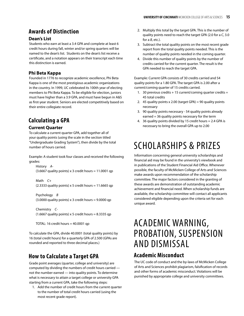## **Awards of Distinction**

### **Dean's List**

Students who earn at least a 3.4 GPA and complete at least 6 credit hours during fall, winter and/or spring quarters will be named to the dean's list. Students on the dean's list receive a certificate, and a notation appears on their transcript each time this distinction is earned.

### **Phi Beta Kappa**

Founded in 1776 to recognize academic excellence, Phi Beta Kappa is one of the most prestigious academic organizations in the country. In 1999, UC celebrated its 100th year of electing members to Phi Beta Kappa. To be eligible for election, juniors must have higher than a 3.9 GPA, and must have begun in A&S as first-year student. Seniors are elected competitively based on their entire collegiate record.

# **Calculating a GPA**

### **Current Quarter**

To calculate a current quarter GPA, add together all of your quality points (using the scale in the section titled "Undergraduate Grading System"), then divide by the total number of hours carried.

Example: A student took four classes and received the following grades:

History *A-*  $(3.6667$  quality points) x 3 credit hours = 11.0001 qp

Math *C+* (2.3333 quality points) x 5 credit hours =  $11.6665$  qp

Psychology *B*  $(3.0000$  quality points) x 3 credit hours = 9.0000 qp

Chemistry *C-* (1.6667 quality points)  $x$  5 credit hours = 8.3335 qp

TOTAL: 16 credit hours  $=$  40.0001 qp

To calculate the GPA, divide 40.0001 (total quality points) by 16 (total credit hours) for a quarterly GPA of 2.500 (GPAs are rounded and reported to three decimal places.)

# **How to Calculate a Target GPA**

Grade point averages (quarter, college and university) are computed by dividing the numbers of credit hours carried not the number earned — into quality points. To determine what is necessary to attain a target college or university GPA starting from a current GPA, take the following steps:

1. Add the number of credit hours from the current quarter to the number of total credit hours carried (using the most recent grade report).

- 2. Multiply this total by the target GPA. This is the number of quality points need to reach the target GPA (2.0 for a *C*, 3.0 for a *B*, etc.).
- 3. Subtract the total quality points on the most recent grade report from the total quality points needed. This is the number of quality points needed in the coming quarter.
- 4. Divide this number of quality points by the number of credits carried for the current quarter. The result is the GPA needed to reach the target GPA.

Example: Current GPA consists of 30 credits carried and 54 quality points for a 1.80 GPA. The target GPA is 2.00 after a current/coming quarter of 15 credits carried.

- 1. 30 previous credits  $+15$  current/coming quarter credits = 45 total credits
- 2. 45 quality points x 2.00 (target GPA) = 90 quality points necessary
- 3. 90 quality points necessary 54 quality points already earned = 36 quality points necessary for the term
- 4. 36 quality points divided by 15 credit hours = 2.4 GPA is necessary to bring the overall GPA up to 2.00

# Scholarships & Prizes

Information concerning general university scholarships and financial aid may be found in the university's viewbook and in publications of the Student Financial Aid Office. Whenever possible, the faculty of McMicken College of Arts and Sciences make awards upon recommendation of the scholarship committee. The major factors considered in the granting of these awards are demonstration of outstanding academic achievement and financial need. When scholarship funds are available, the scholarship committee will contact all applicants considered eligible depending upon the criteria set for each unique award.

# Academic Warning, Probation, Suspension and Dismissal

### **Academic Misconduct**

The UC code of conduct and the by-laws of McMicken College of Arts and Sciences prohibit plagiarism, falsification of records and other forms of academic misconduct. Violations will be punished by appropriate college and university committees.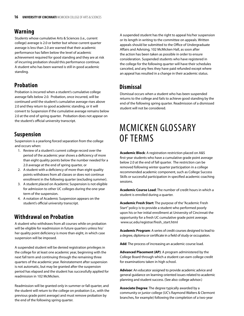### **Warning**

Students whose cumulative Arts & Sciences (i.e., current college) average is 2.0 or better but whose current quarter average is less than 2.0 are warned that their academic performance has fallen below the level of academic achievement required for good standing and they are at risk of incurring probation should this performance continue. A student who has been warned is still in good academic standing.

### **Probation**

Probation is incurred when a student's cumulative college average falls below 2.0. Probation, once incurred, will be continued until the student's cumulative average rises above 2.0 and they return to good academic standing, or it will convert to Suspension if the cumulative average remains below 2.0 at the end of spring quarter. Probation does not appear on the student's official university transcript.

### **Suspension**

Suspension is a yearlong forced separation from the college and occurs when:

- 1. Review of a student's current college record over the period of the academic year shows a deficiency of more than eight quality points below the number needed for a 2.0 average at the end of spring quarter, or
- 2. A student with a deficiency of more than eight quality points withdraws from all classes or does not continue enrollment in the following quarter (excluding summer).
- 3. A student placed on Academic Suspension is not eligible for admission to other UC colleges during the one-year term of the suspension.
- 4. A notation of Academic Suspension appears on the student's official university transcript.

### **Withdrawal on Probation**

A student who withdraws from all courses while on probation will be eligible for readmission in future quarters unless his/ her quality point deficiency is more than eight, in which case suspension will be imposed.

A suspended student will be denied registration privileges in the college for at least one academic year, beginning with the next fall term and continuing through the remaining three quarters of the academic year. Reinstatement after suspension is not automatic, but may be granted after the suspension period has elapsed and the student has successfully applied for readmission in 102 McMicken.

Readmission will be granted only in summer or fall quarter, and the student will return to the college on probation (i.e., with the previous grade point average) and must remove probation by the end of the following spring quarter.

A suspended student has the right to appeal his/her suspension or its length in writing to the committee on appeals. Written appeals should be submitted to the Office of Undergraduate Affairs and Advising, 102 McMicken Hall, as soon after the action has been taken as possible in order to ensure consideration. Suspended students who have registered in the college for the following quarter will have their schedules canceled, and any fees they have paid refunded except where an appeal has resulted in a change in their academic status.

### **Dismissal**

Dismissal occurs when a student who has been suspended returns to the college and fails to achieve good standing by the end of the following spring quarter. Readmission of a dismissed student will not be considered.

# McMicken Glossary of Terms

**Academic Block**: A registration restriction placed on A&S first-year students who have a cumulative grade point average below 2.0 at the end of fall quarter. The restriction can be removed following winter quarter participation in a college recommended academic component, such as College Success Skills or successful participation in specified academic coaching sessions.

**Academic Course Load**: The number of credit hours in which a student is enrolled during a quarter.

**Academic Fresh Start**: The purpose of the "Academic Fresh Start" policy is to provide a student who performed poorly upon his or her initial enrollment at University of Cincinnati the opportunity for a fresh UC cumulative grade point average. www.uc.edu/registrar/fresh\_start.html

**Academic Program**: A series of credit courses designed to lead to a degree, diploma or certificate in a field of study or occupation.

**Add**: The process of increasing an academic course load.

**Advanced Placement (AP)**: A program administered by the College Board through which a student can earn college credit for examinations taken in high school.

**Advisor**: An educator assigned to provide academic advice and general guidance on learning-oriented issues related to academic planning and student success. (See also: college advisor.)

**Associate Degree**: The degree typically awarded by a community or junior college (UC's Raymond Walters & Clermont branches, for example) following the completion of a two-year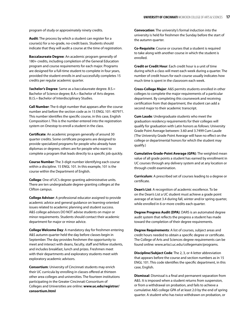program of study or approximately ninety credits.

**Audit**: The process by which a student can register for a course(s) for a no-grade, no-credit basis. Students should indicate that they will audit a course at the time of registration.

**Baccalaureate Degree**: An academic program generally of 180+ credits, including completion of the General Education program and course requirements for each major. Programs are designed for a full-time student to complete in four years, provided the student enrolls in and successfully completes 15 credits per regular academic quarter.

B**achelor's Degree**: Same as a baccalaureate degree. B.S.= Bachelor of Science degree; B.A.= Bachelor of Arts degree. B.I.S.= Bachelor of Interdisciplinary Studies.

**Call Number**: The 6-digit number that appears after the course number and before the section code as in 15 ENGL 101: 407971. This number identifies the specific course, in this case, English Composition I. This is the number entered into the registration system on Onestop to enroll a student in the class.

**Certificate**: An academic program generally of around 30 quarter credits. Some certificate programs are designed to provide specialized programs for people who already have diplomas or degrees; others are for people who want to complete a program that leads directly to a specific job quickly.

**Course Number**: The 3-digit number identifying each course within a discipline. 15 ENGL 101. In this example, 101 is the course within the Department of English.

**College**: One of UC's degree-granting administrative units. There are ten undergraduate degree-granting colleges at the Clifton campus.

**College Advisor**: A professional educator assigned to provide academic advice and general guidance on learning-oriented issues related to academic planning and student success. A&S college advisors DO NOT advise students on major or minor requirements. Students should contact their academic department for major or minor advice.

**College Welcome Day**: A mandatory day for freshmen entering A&S autumn quarter held the day before classes begin in September. The day provides freshmen the opportunity to meet and interact with deans, faculty, staff and fellow students, and includes breakfast, lunch and prizes. Freshmen meet with their departments and exploratory students meet with exploratory academic advisors.

**Consortium**: University of Cincinnati students may enrich their UC curricula by enrolling in classes offered at thirteen other area colleges and universities. The fourteen institutions participating in the Greater Cincinnati Consortium of Colleges and Universities are online: **www.uc.edu/registrar/ consortium.html**

**Convocation**: The university's formal induction into the university is held for freshmen the Sunday before the start of the autumn quarter.

**Co-Requisite**: Course or courses that a student is required to take along with another course in which the student is enrolled.

**Credit or Credit Hour**: Each credit hour is a unit of time during which a class will meet each week during a quarter. The number of credit hours for each course usually indicates how much time is spent in the classroom each week.

**Cross-College Major**: A&S permits students enrolled in other colleges to complete the major requirements of a particular department. By completing this coursework and receiving certification from that department, the student can add a second major to their academic transcript.

**Cum Laude**: Undergraduate students who meet the graduation residency requirements for their colleges will qualify for graduation with Latin honors as follows: University Grade Point Average between: 3.60 and 3.7499 Cum Laude (The University Grade Point Average will have no effect on the college or departmental honors for which the student may qualify.)

**Cumulative Grade-Point Average (GPA)**: The weighted mean value of all grade points a student has earned by enrollment in UC courses through any delivery system and at any location or through credit examination.

**Curriculum**: A prescribed set of courses leading to a degree or certificate.

**Dean's List**: A recognition of academic excellence. To be on the Dean's List a UC student must achieve a grade point average of at least 3.4 during fall, winter and/or spring quarter, while enrolled in 6 or more credits each quarter.

**Degree Progress Audit (DPA)**: DARS is an automated degree audit system that reflects the progress a student has made toward the completion of their degree requirements.

**Degree Requirements**: A list of courses, subject areas and credit hours needed to obtain a specific degree or certificate. The College of Arts and Sciences degree requirements can be found online: www.artsci.uc.edu/collegemain/programs.

**Discipline/Subject Code**: The 2, 3, or 4-letter abbreviation that appears before the course and section numbers as in 15 ENGL 101. This code identifies the specific department, in this case, English.

**Dismissal**: Dismissal is a final and permanent separation from A&S. It is imposed when a student returns from suspension, or from a withdrawal on probation, and fails to achieve a cumulative A&S college GPA of at least 2.0 by the end of spring quarter. A student who has twice withdrawn on probation, or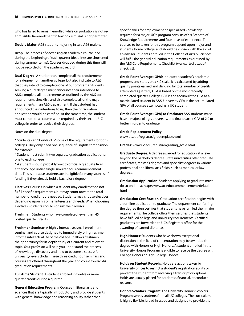who has failed to remain enrolled while on probation, is not readmissible. Re-enrollment following dismissal is not permitted.

**Double Major**: A&S students majoring in two A&S majors.

**Drop**: The process of decreasing an academic course load during the beginning of each quarter (deadlines are shortened during summer terms). Courses dropped during this time will not be recorded on the academic record.

**Dual Degree**: A student can complete all the requirements for a degree from another college, but also indicate to A&S that they intend to complete one of our programs. Students seeking a dual degree must announce their intentions to A&S, complete all requirements as outlined by the A&S core requirements checklist, and also complete all of the major requirements in an A&S department. If that student had announced their intentions to us, then their graduation application would be certified. At the same time, the student must complete all course work required by their second UC college in order to receive their degrees.

Notes on the dual degree:

\* Students can "double-dip" some of the requirements for both colleges. They only need one sequence of English composition, for example.

\* Student must submit two separate graduation applications; one to each college.

\* A student should probably wait to officially graduate from either college until a single simultaneous commencement date. This is because students are ineligible for many sources of funding if they already hold a bachelor's degree.

**Electives**: Courses in which a student may enroll that do not fulfill specific requirements, but may count toward the total number of credit hours needed. Students may choose electives depending upon his or her interests and needs. When choosing electives, students should consult their advisor.

**Freshmen**: Students who have completed fewer than 45 posted quarter credits.

**Freshman Seminar**: A highly interactive, small enrollment seminar and course designed to immediately bring freshmen into the intellectual life of the college. It allows freshmen the opportunity for in-depth study of a current and relevant topic. Your professor will help you understand the process of knowledge discovery and how to become a successful university-level scholar. These three credit hour seminars and courses are offered throughout the year and count toward A&S graduation requirements.

**Full-Time Student**: A student enrolled in twelve or more quarter credits during a quarter.

**General Education Program**: Courses in liberal arts and sciences that are typically introductory and provide students with general knowledge and reasoning ability rather than

specific skills for employment or specialized knowledge required for a major. UC's program consists of six Breadth of Knowledge Requirements and four areas of experience. The courses to be taken for this program depend upon major and student's home college, and should be chosen with the aid of an advisor. Students enrolled in the College of Arts & Sciences will fulfill the general education requirements as outlined by the A&S Core Requirements Checklist (www.artsci.uc.edu/ checklist).

**Grade Point Average (GPA)**: Indicates a student's academic progress and status on a 4.0 scale. It is calculated by adding quality points earned and dividing by total number of credits attempted. Quarterly GPA is based on the most recently completed quarter. College GPA is the accumulated GPA as a matriculated student in A&S. University GPA is the accumulated GPA of all courses attempted as a UC student.

**Grade Point Average (GPA) to Graduate:** A&S students must have a major, college, university, and final quarter GPA of 2.0 or better in order to graduate.

**Grade Replacement Policy**: www.uc.edu/registrar/gradereplace.html

**Grades**: www.uc.edu/registrar/grading\_scale.html

**Graduate Degree**: A degree awarded for education at a level beyond the bachelor's degree. State universities offer graduate certificates, master's degrees and specialist degrees in various professional and liberal arts fields, such as medical or law degrees.

**Graduation Application**: Students applying to graduate must do so on-line at http://www.uc.edu/commencement/default. html

**Graduation Certification**: Graduation certification begins with an on-line application to graduate. The department conferring the degree then certifies that students have fulfilled their major requirements. The college office then certifies that students have fulfilled college and university requirements. Certified graduates are forwarded to UC's Registrars office for the awarding of earned diplomas.

**High Honors**: Students who have shown exceptional distinction in the field of concentration may be awarded the degree with Honors or High Honors. A student enrolled in the University Honors Program is eligible to receive the degree with College Honors or High College Honors.

**Holds on Student Records**: Holds are actions taken by University offices to restrict a student's registration ability or prevent the student from receiving a transcript or diploma. Holds are usually placed for academic, financial, or conduct reasons.

**Honors Scholars Program**: The University Honors Scholars Program serves students from all UC colleges. The curriculum is highly flexible, broad in scope and designed to provide the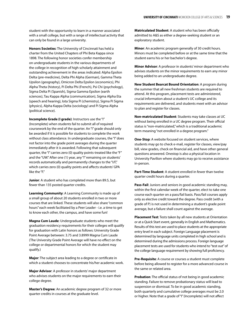student with the opportunity to learn in a manner associated with a small college, but with a range of intellectual activity that can only be found in a large university.

**Honors Societies**: The University of Cincinnati has held a charter from the United Chapters of Phi Beta Kappa since 1898. The following honor societies confer membership on undergraduate students in the various departments of the college in recognition of high scholarly attainment and outstanding achievement in the areas indicated: Alpha Epsilon Delta (pre-medicine), Delta Phi Alpha (German), Gamma Theta Upsilon (geography), Omicron Delta Epsilon (economics), Phi Alpha Theta (history), Pi Delta Phi (French), Psi Chi (psychology), Sigma Delta Pi (Spanish), Sigma Gamma Epsilon (earth sciences), Tau Kappa Alpha (communication), Sigma Alpha Eta (speech and hearing), Iota Sigma Pi (chemistry), Sigma Pi Sigma (physics), Alpha Kappa Delta (sociology) and Pi Sigma Alpha (political science).

**Incomplete Grade (I grade)**: Instructors use the "I" (Incomplete) when students fail to submit all of required coursework by the end of the quarter. An "I" grade should only be awarded if it is possible for students to complete the work without class attendance. In undergraduate courses, the "I" does not factor into the grade point averages during the quarter immediately after it is awarded. Following that subsequent quarter, the "I" carries zero (0) quality points-treated like the "F" and the "UW." After one (1) year, any "I" remaining on students' records automatically and permanently changes to the "I/F," which carries zero (0) quality points and affects students' GPA like the "F."

**Junior**: A student who has completed more than 89.5, but fewer than 135 posted quarter credits.

**Learning Community**: A Learning Community is made up of a small group of about 20 students enrolled in two or more courses that are linked. These students will also share "common hours" each week facilitated by a Peer Leader - i.e. a time to get to know each other, the campus, and have some fun!

**Magna Cum Laude**: Undergraduate students who meet the graduation residency requirements for their colleges will qualify for graduation with Latin honors as follows: University Grade Point Average between: 3.75 and 3.8999 Magna Cum Laude (The University Grade Point Average will have no effect on the college or departmental honors for which the student may qualify.)

**Major**: The subject area leading to a degree or certificate in which a student chooses to concentrate his/her academic work.

**Major Advisor**: A professor in students' major department who advises students on the major requirements to earn their college degree.

**Master's Degree**: An academic degree program of 32 or more quarter credits in courses at the graduate level.

**Matriculated Student**: A student who has been officially admitted to A&S as either a degree-seeking student or an exploratory student.

**Minor**: An academic program generally of 30 credit hours. Minors must be completed before or at the same time that the student earns his or her bachelor's degree.

**Minor Advisor**: A professor in students' minor department who advises students on the minor requirements to earn any minor being added to an undergraduate degree.

**New Student Bearcat Bound Orientation**: A program during the summer that all new freshman students are required to attend. At this program, placement tests are administered, crucial information about a student's UC college and its requirements are delivered, and students meet with an advisor to plan and register for classes.

**Non-matriculated Student**: Students may take classes at UC without being enrolled in a UC degree program. Their official status is "non-matriculated," which is a traditional academic term meaning "not enrolled in a degree program."

**One-Stop**: A website focused on student services, where students may go to check e-mail, register for classes, view/pay bill, view grades, check on financial aid, and have other general questions answered. Onestop is also a physical location in University Pavilion where students may go to receive assistance in-person.

**Part-Time Student**: A student enrolled in fewer than twelve quarter credit hours during a quarter.

**Pass-Fail**: Juniors and seniors in good academic standing may, within the first calendar week of the quarter, elect to take one course each quarter on a pass/fail basis. Pass/fail courses apply only as elective credit toward the degree. Pass credit (with a grade of P) is not used in determining a student's grade point average, but a failure shall count against the average.

**Placement Test**: Tests taken by all new students at Orientation or at a Quick Start event, generally in English and Mathematics. Results of this test are used to place students at the appropriate entry level in each subject. Foreign Language placement is determined by language units completed in high school and is determined during the admissions process. Foreign language placement tests are used for students who intend to "test out" of the college language requirement by showing full proficiency.

**Pre-Requisite**: A course or courses a student must complete before being allowed to register for a more advanced course in the same or related area.

**Probation**: The official status of not being in good academic standing. Failure to remove probationary status will lead to suspension or dismissal. To be in good academic standing, both quarterly and cumulative college averages must be 2.0 or higher. Note that a grade of "I" (Incomplete) will not affect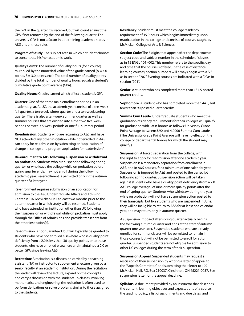the GPA in the quarter it is received, but will count against the GPA if not removed by the end of the following quarter. The university GPA is not a factor in determining academic status in A&S under these rules.

**Program of Study**: The subject area in which a student chooses to concentrate his/her academic work.

**Quality Points**: The number of quality hours (for a course) multiplied by the numerical value of the grade earned  $(A = 4.0$ points,  $B = 3.0$  points, etc.). The total number of quality points divided by the total number of quality hours equals a student's cumulative grade point average (GPA).

**Quality Hours**: Credits earned which affect a student's GPA.

**Quarter**: One of the three main enrollment periods in an academic year. At UC, the academic year consists of a ten-week fall quarter, a ten-week winter quarter and a ten-week spring quarter. There is also a ten-week summer quarter as well as summer courses that are divided into either two five-week periods or three 3.5 week periods or one full summer period.

**Re-admission**: Students who are returning to A&S and have NOT attended any other institution while not enrolled in A&S can apply for re-admission by submitting an "application of change in college and program application for readmission."

**Re-enrollment to A&S following suspension or withdrawal on probation**: Students who are suspended following spring quarter, or who leave the college while on probation before spring quarter ends, may not enroll during the following academic year. Re-enrollment is permitted only in the autumn quarter of a later year.

Re-enrollment requires submission of an application for admission to the A&S Undergraduate Affairs and Advising Center in 102 McMicken Hall at least two months prior to the autumn quarter in which study will be resumed. Students who have attended an institution other than UC following their suspension or withdrawal while on probation must apply through the Office of Admissions and provide transcripts from the other institution(s).

Re-admission is not guaranteed, but will typically be granted to students who have not enrolled elsewhere whose quality point deficiency from a 2.0 is less than 30 quality points, or to those students who have enrolled elsewhere and maintained a 2.0 or better GPA since leaving A&S.

**Recitation**: A recitation is a discussion carried by a teaching assistant (TA) or instructor to supplement a lecture given by a senior faculty at an academic institution. During the recitation, the leader will review the lecture, expand on the concepts, and carry a discussion with the students. In classes involving mathematics and engineering, the recitation is often used to perform derivations or solve problems similar to those assigned to the students.

**Residency**: Student must meet the college residency requirement of 45.0 hours which begins immediately upon matriculation in the college and consists of courses taught by McMicken College of Arts & Sciences.

**Section Code**: The 3 digits that appear after the department/ subject code and subject number in the schedule of classes, as in 15 ENGL 101 -002. This number refers to the specific day and time that the course is offered. In the case of distance learning courses, section numbers will always begin with a "7" as in section "707." Evening courses are indicated with a "9" as in section "901".

**Senior**: A student who has completed more than 134.5 posted quarter credits.

**Sophomore**: A student who has completed more than 44.5, but fewer than 90 posted quarter credits.

**Summa Cum Laude**: Undergraduate students who meet the graduation residency requirements for their colleges will qualify for graduation with Latin honors as follows: University Grade Point Average between: 3.90 and 4.0000 Summa Cum Laude (The University Grade Point Average will have no effect on the college or departmental honors for which the student may qualify.)

**Suspension**: A forced separation from the college, with the right to apply for readmission after one academic year. Suspension is a mandatory separation from enrollment in A&S, and in A&S courses, for a minimum of one calendar year. Suspension is imposed by A&S and posted to the transcript following spring quarter. Suspension action will be taken against students who have a quality point deficiency (from a 2.0 A&S college average) of nine or more quality points after the end of spring quarter. Students who withdraw during the year while on probation will not have suspension action posted to their transcripts, but like students who are suspended in June, they will be ineligible to return to A&S for at least one calendar year, and may return only in autumn quarter.

A suspension imposed after spring quarter actually begins the following autumn quarter and ends at the start of autumn quarter one year later. Suspended students who are already enrolled for summer classes will be permitted to remain in those courses but will not be permitted to enroll for autumn quarter. Suspended students are not eligible for admission to other UC colleges during the term of their suspension.

**Suspension Appeal**: Suspended students may request a rescission of their suspension by writing a letter of appeal to the "Appeals Committee" and submitting their letter to 102 McMicken Hall, P.O. Box 210037, Cincinnati, OH 45221-0037. See suspension letter for the appeal deadline.

**Syllabus**: A document provided by an instructor that describes the content, learning objectives and expectations of a course, the grading policy, a list of assignments and due dates, and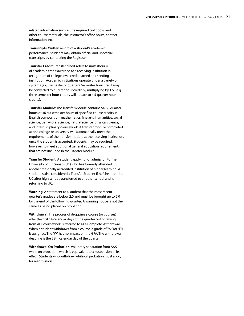related information such as the required textbooks and other course materials, the instructor's office hours, contact information, etc.

**Transcripts**: Written record of a student's academic performance. Students may obtain official and unofficial transcripts by contacting the Registrar.

**Transfer Credit**: Transfer credit refers to units (hours) of academic credit awarded at a receiving institution in recognition of college level credit earned at a sending institution. Academic institutions operate under a variety of systems (e.g., semester or quarter). Semester hour credit may be converted to quarter hour credit by multiplying by 1.5. (e.g., three semester hour credits will equate to 4.5 quarter hour credits).

**Transfer Module**: The Transfer Module contains 54-60 quarter hours or 36-40 semester hours of specified course credits in English composition, mathematics, fine arts, humanities, social science, behavioral science, natural science, physical science, and interdisciplinary coursework. A transfer module completed at one college or university will automatically meet the requirements of the transfer module at the receiving institution, once the student is accepted. Students may be required, however, to meet additional general education requirements that are not included in the Transfer Module.

**Transfer Student**: A student applying for admission to The University of Cincinnati (UC) who has formerly attended another regionally accredited institution of higher learning. A student is also considered a Transfer Student if he/she attended UC after high school, transferred to another school and is returning to UC.

**Warning**: A statement to a student that the most recent quarter's grades are below 2.0 and must be brought up to 2.0 by the end of the following quarter. A warning notice is not the same as being placed on probation

**Withdrawal**: The process of dropping a course (or courses) after the first 14 calendar days of the quarter. Withdrawing from ALL coursework is referred to as a Complete Withdrawal. When a student withdraws from a course, a grade of "W" (or "F") is assigned. The "W" has no impact on the GPA. The withdrawal deadline is the 58th calendar day of the quarter.

**Withdrawal On Probation**: Voluntary separation from A&S while on probation, which is equivalent to a suspension in its effect. Students who withdraw while on probation must apply for readmission.